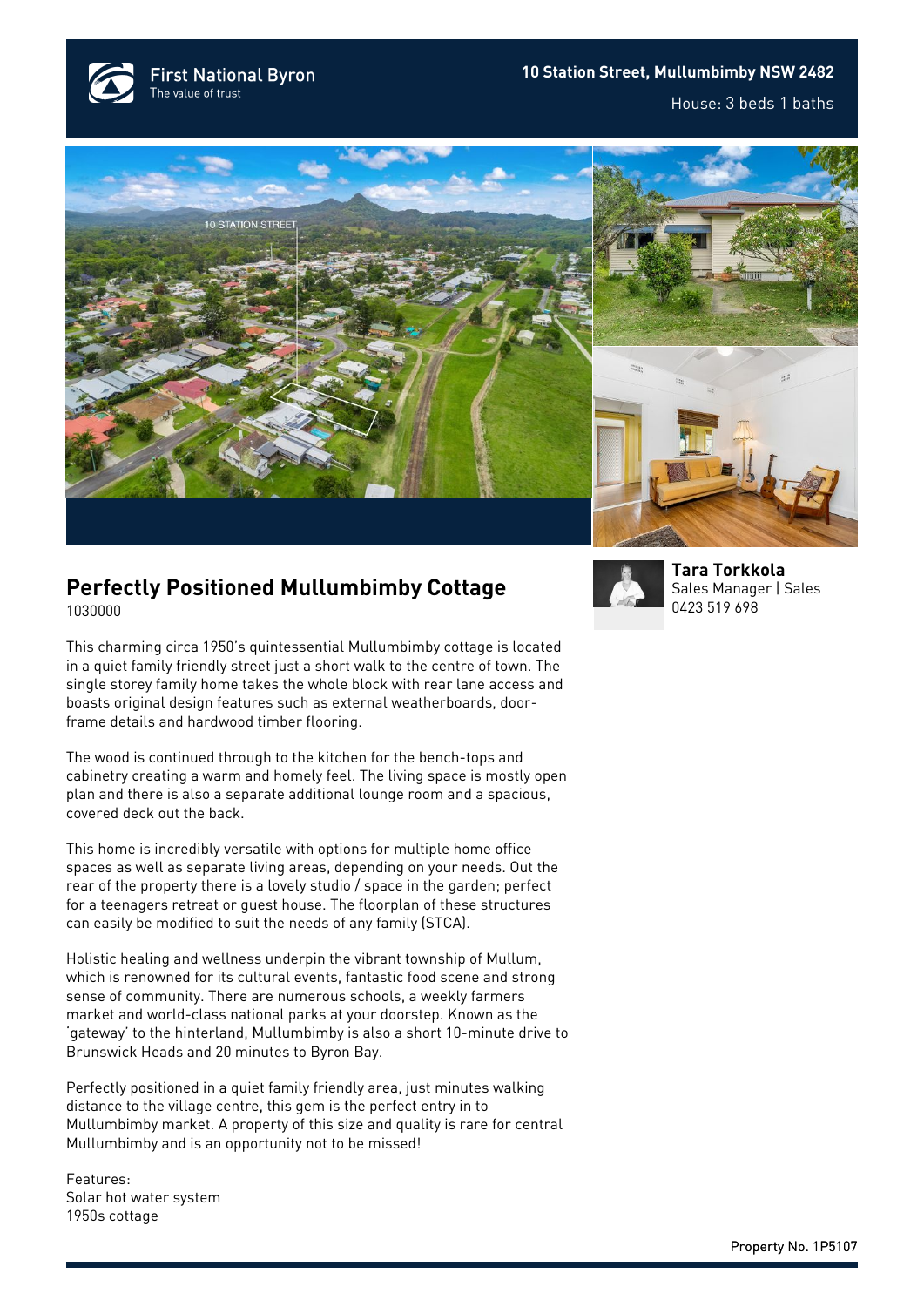**First National Byron** The value of trust





## **Perfectly Positioned Mullumbimby Cottage** 1030000

This charming circa 1950's quintessential Mullumbimby cottage is located in a quiet family friendly street just a short walk to the centre of town. The single storey family home takes the whole block with rear lane access and boasts original design features such as external weatherboards, doorframe details and hardwood timber flooring.

The wood is continued through to the kitchen for the bench-tops and cabinetry creating a warm and homely feel. The living space is mostly open plan and there is also a separate additional lounge room and a spacious, covered deck out the back.

This home is incredibly versatile with options for multiple home office spaces as well as separate living areas, depending on your needs. Out the rear of the property there is a lovely studio / space in the garden; perfect for a teenagers retreat or guest house. The floorplan of these structures can easily be modified to suit the needs of any family (STCA).

Holistic healing and wellness underpin the vibrant township of Mullum, which is renowned for its cultural events, fantastic food scene and strong sense of community. There are numerous schools, a weekly farmers market and world-class national parks at your doorstep. Known as the 'gateway' to the hinterland, Mullumbimby is also a short 10-minute drive to Brunswick Heads and 20 minutes to Byron Bay.

Perfectly positioned in a quiet family friendly area, just minutes walking distance to the village centre, this gem is the perfect entry in to Mullumbimby market. A property of this size and quality is rare for central Mullumbimby and is an opportunity not to be missed!

Features: Solar hot water system 1950s cottage



**[Tara Torkkola](https://www.byronbayfn.com.au/agents/tara-torkkola/)** Sales Manager | Sales [0423 519 698](#page--1-0)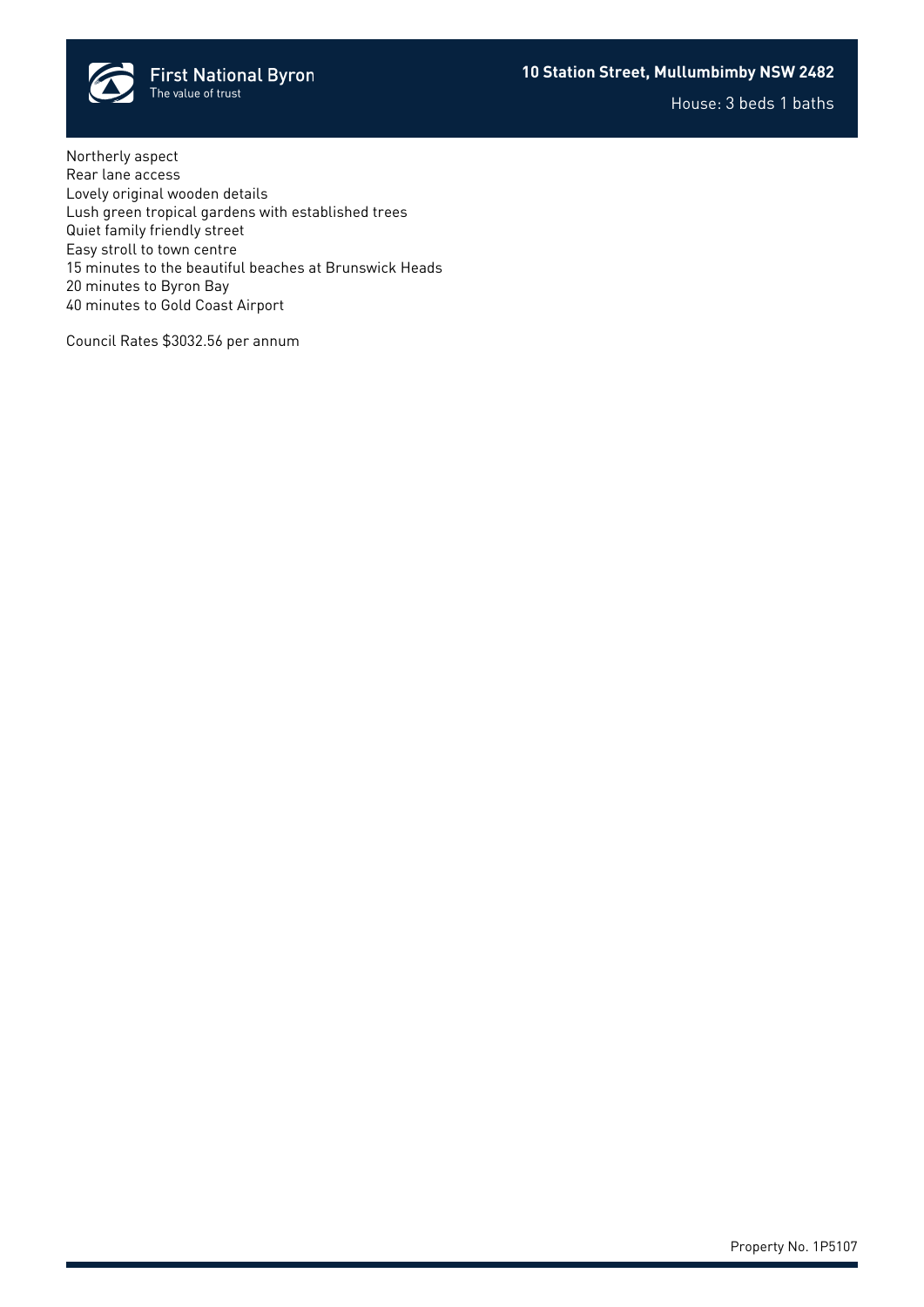Northerly aspect Rear lane access Lovely original wooden details Lush green tropical gardens with established trees Quiet family friendly street Easy stroll to town centre 15 minutes to the beautiful beaches at Brunswick Heads 20 minutes to Byron Bay 40 minutes to Gold Coast Airport

Council Rates \$3032.56 per annum